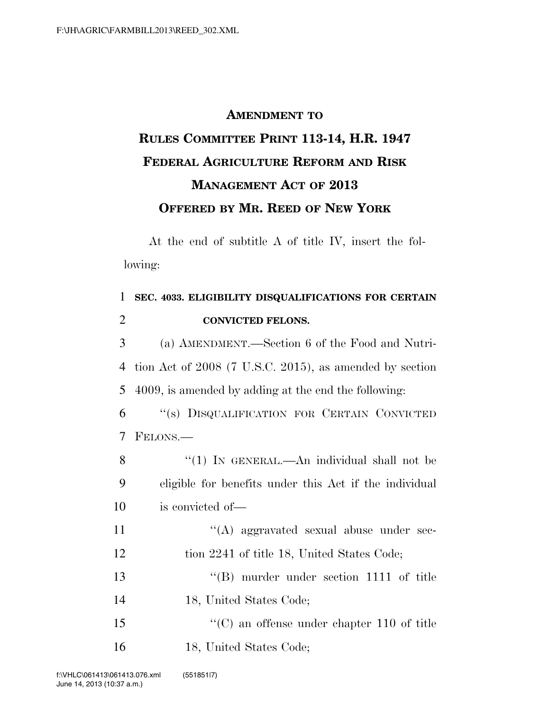## **AMENDMENT TO RULES COMMITTEE PRINT 113-14, H.R. 1947 FEDERAL AGRICULTURE REFORM AND RISK MANAGEMENT ACT OF 2013 OFFERED BY MR. REED OF NEW YORK**

At the end of subtitle A of title IV, insert the following:

| $\mathbf{1}$   | SEC. 4033. ELIGIBILITY DISQUALIFICATIONS FOR CERTAIN    |
|----------------|---------------------------------------------------------|
| $\overline{2}$ | <b>CONVICTED FELONS.</b>                                |
| 3              | (a) AMENDMENT.—Section 6 of the Food and Nutri-         |
| 4              | tion Act of 2008 (7 U.S.C. 2015), as amended by section |
| 5              | 4009, is amended by adding at the end the following:    |
| 6              | "(s) DISQUALIFICATION FOR CERTAIN CONVICTED             |
| 7              | FELONS.—                                                |
| 8              | "(1) IN GENERAL.—An individual shall not be             |
| 9              | eligible for benefits under this Act if the individual  |
| 10             | is convicted of—                                        |
| 11             | $\lq\lq$ aggravated sexual abuse under sec-             |
| 12             | tion 2241 of title 18, United States Code;              |
| 13             | $\lq\lq (B)$ murder under section 1111 of title         |
| 14             | 18, United States Code;                                 |
| 15             | $\lq\lq$ (C) an offense under chapter 110 of title      |
| 16             | 18, United States Code;                                 |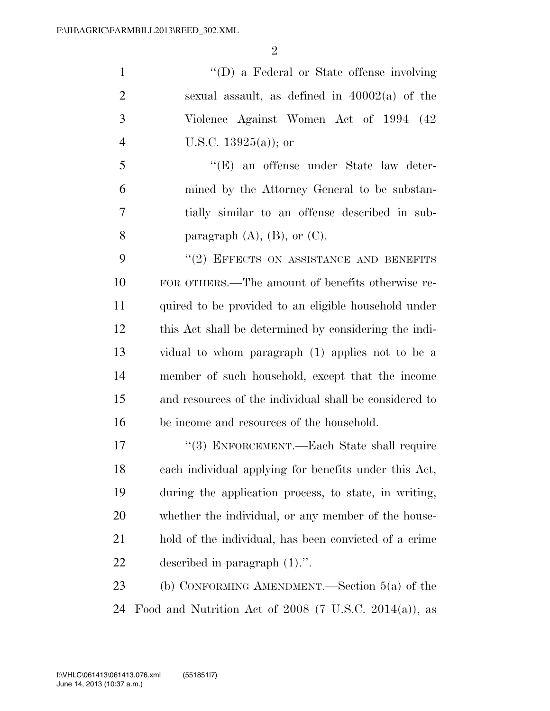''(D) a Federal or State offense involving 2 sexual assault, as defined in  $40002(a)$  of the Violence Against Women Act of 1994 (42 U.S.C. 13925(a)); or

 ''(E) an offense under State law deter- mined by the Attorney General to be substan- tially similar to an offense described in sub-8 paragraph  $(A)$ ,  $(B)$ , or  $(C)$ .

9 "(2) EFFECTS ON ASSISTANCE AND BENEFITS FOR OTHERS.—The amount of benefits otherwise re- quired to be provided to an eligible household under this Act shall be determined by considering the indi- vidual to whom paragraph (1) applies not to be a member of such household, except that the income and resources of the individual shall be considered to be income and resources of the household.

17 "(3) ENFORCEMENT.—Each State shall require each individual applying for benefits under this Act, during the application process, to state, in writing, whether the individual, or any member of the house- hold of the individual, has been convicted of a crime described in paragraph (1).''.

 (b) CONFORMING AMENDMENT.—Section 5(a) of the Food and Nutrition Act of 2008 (7 U.S.C. 2014(a)), as